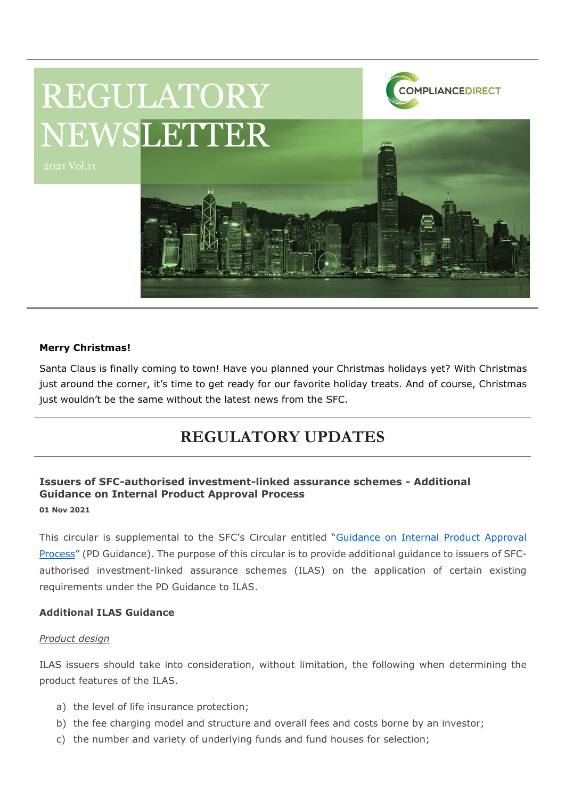

# **Merry Christmas!**

Santa Claus is finally coming to town! Have you planned your Christmas holidays yet? With Christmas just around the corner, it's time to get ready for our favorite holiday treats. And of course, Christmas just wouldn't be the same without the latest news from the SFC.

# **REGULATORY UPDATES**

# **Issuers of SFC-authorised investment-linked assurance schemes - Additional Guidance on Internal Product Approval Process 01 Nov 2021**

This circular is supplemental to the SFC's Circular entitled "Guidance on Internal Product Approval [Process](https://apps.sfc.hk/edistributionWeb/gateway/EN/circular/products/product-authorization/doc?refNo=16EC11)" (PD Guidance). The purpose of this circular is to provide additional guidance to issuers of SFCauthorised investment-linked assurance schemes (ILAS) on the application of certain existing requirements under the PD Guidance to ILAS.

# **Additional ILAS Guidance**

### *Product design*

ILAS issuers should take into consideration, without limitation, the following when determining the product features of the ILAS.

- a) the level of life insurance protection;
- b) the fee charging model and structure and overall fees and costs borne by an investor;
- c) the number and variety of underlying funds and fund houses for selection;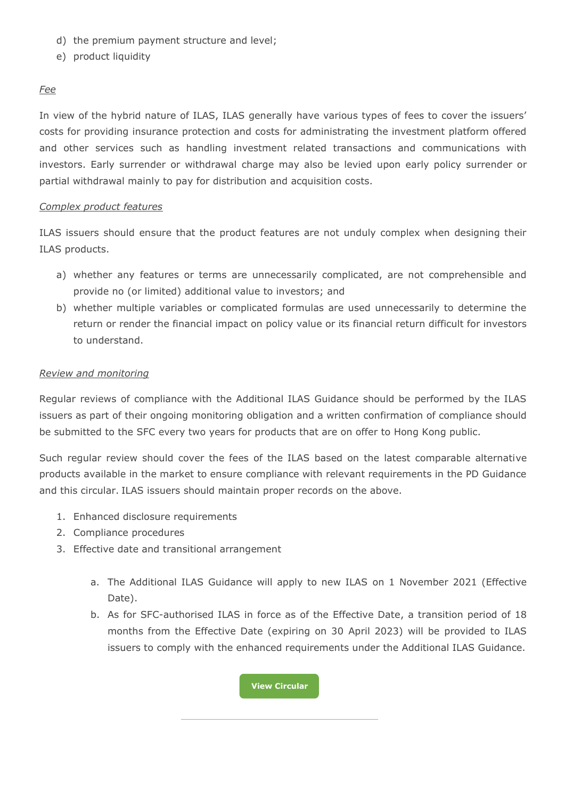- d) the premium payment structure and level;
- e) product liquidity

# *Fee*

In view of the hybrid nature of ILAS, ILAS generally have various types of fees to cover the issuers' costs for providing insurance protection and costs for administrating the investment platform offered and other services such as handling investment related transactions and communications with investors. Early surrender or withdrawal charge may also be levied upon early policy surrender or partial withdrawal mainly to pay for distribution and acquisition costs.

### *Complex product features*

ILAS issuers should ensure that the product features are not unduly complex when designing their ILAS products.

- a) whether any features or terms are unnecessarily complicated, are not comprehensible and provide no (or limited) additional value to investors; and
- b) whether multiple variables or complicated formulas are used unnecessarily to determine the return or render the financial impact on policy value or its financial return difficult for investors to understand.

# *Review and monitoring*

Regular reviews of compliance with the Additional ILAS Guidance should be performed by the ILAS issuers as part of their ongoing monitoring obligation and a written confirmation of compliance should be submitted to the SFC every two years for products that are on offer to Hong Kong public.

Such regular review should cover the fees of the ILAS based on the latest comparable alternative products available in the market to ensure compliance with relevant requirements in the PD Guidance and this circular. ILAS issuers should maintain proper records on the above.

- 1. Enhanced disclosure requirements
- 2. Compliance procedures
- 3. Effective date and transitional arrangement
	- a. The Additional ILAS Guidance will apply to new ILAS on 1 November 2021 (Effective Date).
	- b. As for SFC-authorised ILAS in force as of the Effective Date, a transition period of 18 months from the Effective Date (expiring on 30 April 2023) will be provided to ILAS issuers to comply with the enhanced requirements under the Additional ILAS Guidance.

**[View Circular](https://apps.sfc.hk/edistributionWeb/gateway/EN/circular/products/product-authorization/doc?refNo=21EC49)**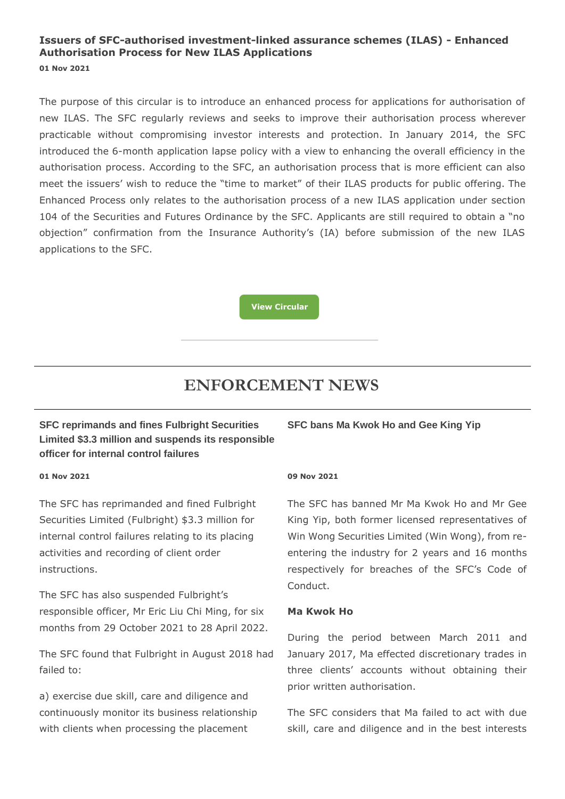# **Issuers of SFC-authorised investment-linked assurance schemes (ILAS) - Enhanced Authorisation Process for New ILAS Applications 01 Nov 2021**

The purpose of this circular is to introduce an enhanced process for applications for authorisation of new ILAS. The SFC regularly reviews and seeks to improve their authorisation process wherever practicable without compromising investor interests and protection. In January 2014, the SFC introduced the 6-month application lapse policy with a view to enhancing the overall efficiency in the authorisation process. According to the SFC, an authorisation process that is more efficient can also meet the issuers' wish to reduce the "time to market" of their ILAS products for public offering. The Enhanced Process only relates to the authorisation process of a new ILAS application under section 104 of the Securities and Futures Ordinance by the SFC. Applicants are still required to obtain a "no objection" confirmation from the Insurance Authority's (IA) before submission of the new ILAS applications to the SFC.

**[View Circular](https://apps.sfc.hk/edistributionWeb/gateway/EN/circular/products/product-authorization/doc?refNo=21EC50)**

# **ENFORCEMENT NEWS**

# **SFC reprimands and fines Fulbright Securities Limited \$3.3 million and suspends its responsible officer for internal control failures**

#### **01 Nov 2021**

The SFC has reprimanded and fined Fulbright Securities Limited (Fulbright) \$3.3 million for internal control failures relating to its placing activities and recording of client order instructions.

The SFC has also suspended Fulbright's responsible officer, Mr Eric Liu Chi Ming, for six months from 29 October 2021 to 28 April 2022.

The SFC found that Fulbright in August 2018 had failed to:

a) exercise due skill, care and diligence and continuously monitor its business relationship with clients when processing the placement

# **SFC bans Ma Kwok Ho and Gee King Yip**

### **09 Nov 2021**

The SFC has banned Mr Ma Kwok Ho and Mr Gee King Yip, both former licensed representatives of Win Wong Securities Limited (Win Wong), from reentering the industry for 2 years and 16 months respectively for breaches of the SFC's Code of Conduct.

### **Ma Kwok Ho**

During the period between March 2011 and January 2017, Ma effected discretionary trades in three clients' accounts without obtaining their prior written authorisation.

The SFC considers that Ma failed to act with due skill, care and diligence and in the best interests